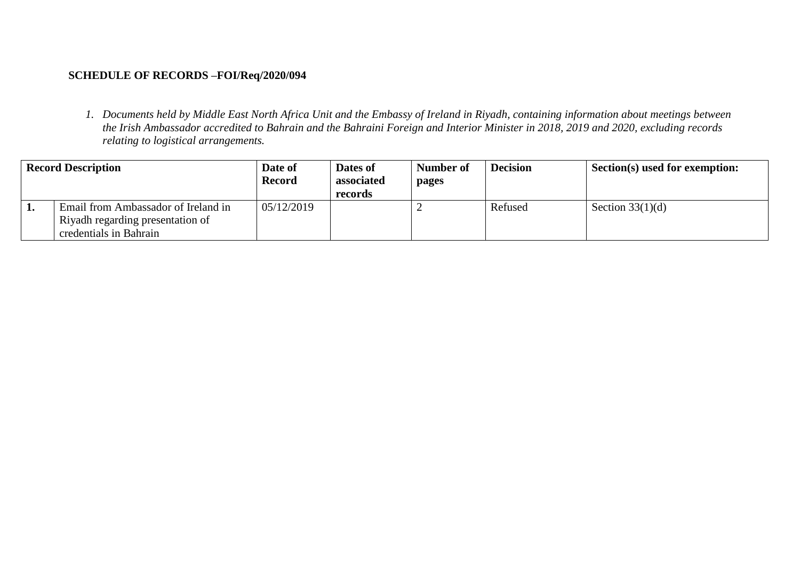## **SCHEDULE OF RECORDS –FOI/Req/2020/094**

*1. Documents held by Middle East North Africa Unit and the Embassy of Ireland in Riyadh, containing information about meetings between the Irish Ambassador accredited to Bahrain and the Bahraini Foreign and Interior Minister in 2018, 2019 and 2020, excluding records relating to logistical arrangements.*

| <b>Record Description</b> |                                                                                                   | Date of<br><b>Record</b> | Dates of<br>associated<br>records | Number of<br>pages | <b>Decision</b> | Section(s) used for exemption: |
|---------------------------|---------------------------------------------------------------------------------------------------|--------------------------|-----------------------------------|--------------------|-----------------|--------------------------------|
| ı.                        | Email from Ambassador of Ireland in<br>Riyadh regarding presentation of<br>credentials in Bahrain | 05/12/2019               |                                   |                    | Refused         | Section $33(1)(d)$             |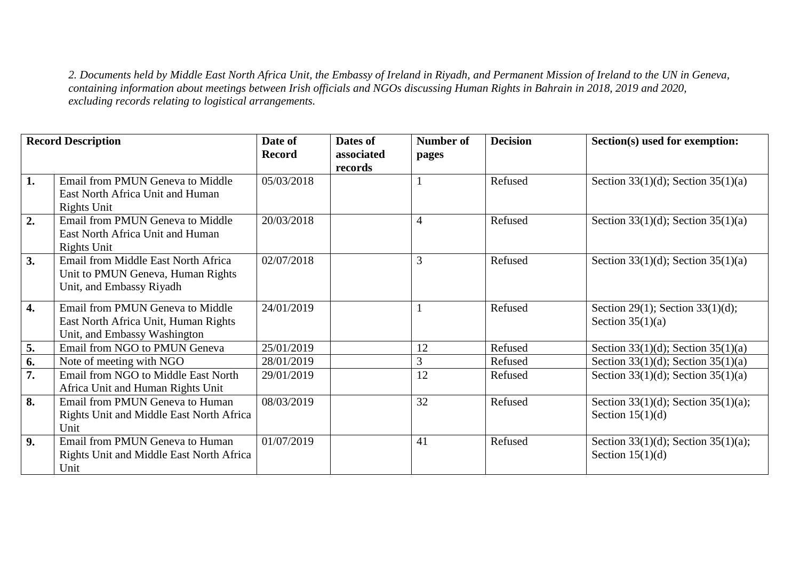*2. Documents held by Middle East North Africa Unit, the Embassy of Ireland in Riyadh, and Permanent Mission of Ireland to the UN in Geneva, containing information about meetings between Irish officials and NGOs discussing Human Rights in Bahrain in 2018, 2019 and 2020, excluding records relating to logistical arrangements.*

| <b>Record Description</b> |                                                                                                          | Date of<br><b>Record</b> | Dates of<br>associated | <b>Number of</b><br>pages | <b>Decision</b> | Section(s) used for exemption:                            |
|---------------------------|----------------------------------------------------------------------------------------------------------|--------------------------|------------------------|---------------------------|-----------------|-----------------------------------------------------------|
|                           |                                                                                                          |                          | records                |                           |                 |                                                           |
| 1.                        | Email from PMUN Geneva to Middle<br>East North Africa Unit and Human<br><b>Rights Unit</b>               | 05/03/2018               |                        |                           | Refused         | Section 33(1)(d); Section 35(1)(a)                        |
| 2.                        | Email from PMUN Geneva to Middle<br>East North Africa Unit and Human<br>Rights Unit                      | 20/03/2018               |                        | $\overline{4}$            | Refused         | Section 33(1)(d); Section 35(1)(a)                        |
| 3.                        | Email from Middle East North Africa<br>Unit to PMUN Geneva, Human Rights<br>Unit, and Embassy Riyadh     | 02/07/2018               |                        | $\overline{3}$            | Refused         | Section 33(1)(d); Section 35(1)(a)                        |
| 4.                        | Email from PMUN Geneva to Middle<br>East North Africa Unit, Human Rights<br>Unit, and Embassy Washington | 24/01/2019               |                        |                           | Refused         | Section 29(1); Section 33(1)(d);<br>Section $35(1)(a)$    |
| 5.                        | Email from NGO to PMUN Geneva                                                                            | 25/01/2019               |                        | 12                        | Refused         | Section 33(1)(d); Section 35(1)(a)                        |
| 6.                        | Note of meeting with NGO                                                                                 | 28/01/2019               |                        | 3                         | Refused         | Section 33(1)(d); Section 35(1)(a)                        |
| 7.                        | Email from NGO to Middle East North<br>Africa Unit and Human Rights Unit                                 | 29/01/2019               |                        | 12                        | Refused         | Section 33(1)(d); Section 35(1)(a)                        |
| 8.                        | Email from PMUN Geneva to Human<br>Rights Unit and Middle East North Africa<br>Unit                      | 08/03/2019               |                        | 32                        | Refused         | Section 33(1)(d); Section 35(1)(a);<br>Section $15(1)(d)$ |
| 9.                        | Email from PMUN Geneva to Human<br>Rights Unit and Middle East North Africa<br>Unit                      | 01/07/2019               |                        | 41                        | Refused         | Section 33(1)(d); Section 35(1)(a);<br>Section $15(1)(d)$ |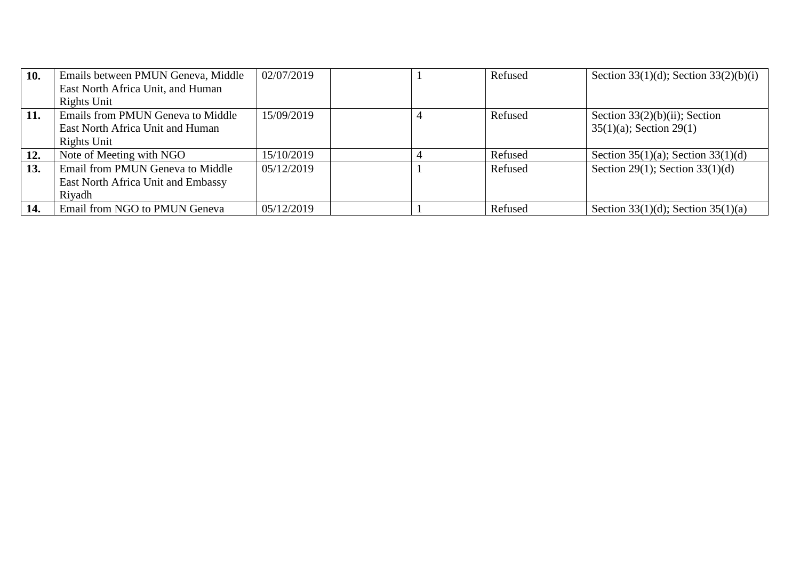| 10. | Emails between PMUN Geneva, Middle | 02/07/2019 | Refused | Section 33(1)(d); Section 33(2)(b)(i) |
|-----|------------------------------------|------------|---------|---------------------------------------|
|     | East North Africa Unit, and Human  |            |         |                                       |
|     | Rights Unit                        |            |         |                                       |
| 11. | Emails from PMUN Geneva to Middle  | 15/09/2019 | Refused | Section $33(2)(b)(ii)$ ; Section      |
|     | East North Africa Unit and Human   |            |         | $35(1)(a)$ ; Section 29(1)            |
|     | Rights Unit                        |            |         |                                       |
| 12. | Note of Meeting with NGO           | 15/10/2019 | Refused | Section 35(1)(a); Section 33(1)(d)    |
| 13. | Email from PMUN Geneva to Middle   | 05/12/2019 | Refused | Section 29(1); Section $33(1)(d)$     |
|     | East North Africa Unit and Embassy |            |         |                                       |
|     | Rivadh                             |            |         |                                       |
| 14. | Email from NGO to PMUN Geneva      | 05/12/2019 | Refused | Section 33(1)(d); Section 35(1)(a)    |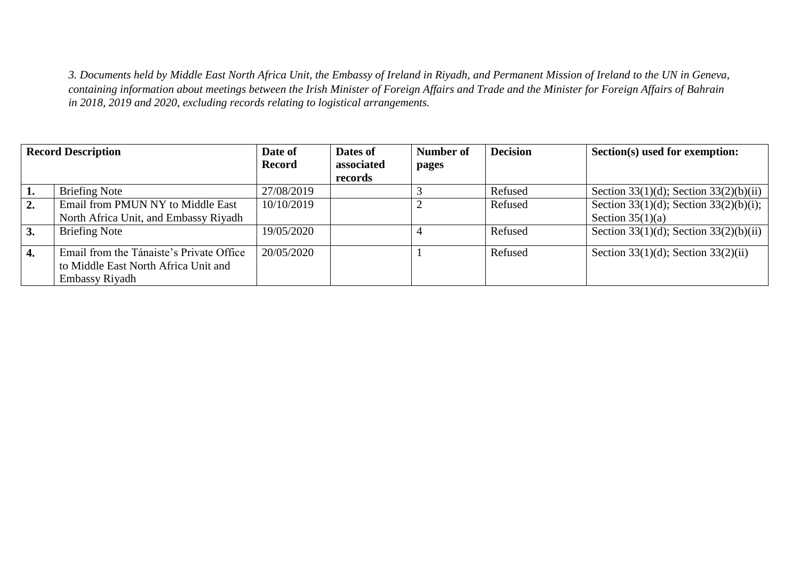*3. Documents held by Middle East North Africa Unit, the Embassy of Ireland in Riyadh, and Permanent Mission of Ireland to the UN in Geneva, containing information about meetings between the Irish Minister of Foreign Affairs and Trade and the Minister for Foreign Affairs of Bahrain in 2018, 2019 and 2020, excluding records relating to logistical arrangements.*

| <b>Record Description</b> |                                          | Date of       | Dates of   | Number of | <b>Decision</b> | Section(s) used for exemption:         |
|---------------------------|------------------------------------------|---------------|------------|-----------|-----------------|----------------------------------------|
|                           |                                          | <b>Record</b> | associated | pages     |                 |                                        |
|                           |                                          |               | records    |           |                 |                                        |
| 1.                        | <b>Briefing Note</b>                     | 27/08/2019    |            |           | Refused         | Section 33(1)(d); Section 33(2)(b)(ii) |
| 2.                        | Email from PMUN NY to Middle East        | 10/10/2019    |            |           | Refused         | Section 33(1)(d); Section 33(2)(b)(i); |
|                           | North Africa Unit, and Embassy Riyadh    |               |            |           |                 | Section $35(1)(a)$                     |
| 3.                        | <b>Briefing Note</b>                     | 19/05/2020    |            |           | Refused         | Section 33(1)(d); Section 33(2)(b)(ii) |
| 4.                        | Email from the Tánaiste's Private Office | 20/05/2020    |            |           | Refused         | Section 33(1)(d); Section 33(2)(ii)    |
|                           | to Middle East North Africa Unit and     |               |            |           |                 |                                        |
|                           | Embassy Riyadh                           |               |            |           |                 |                                        |